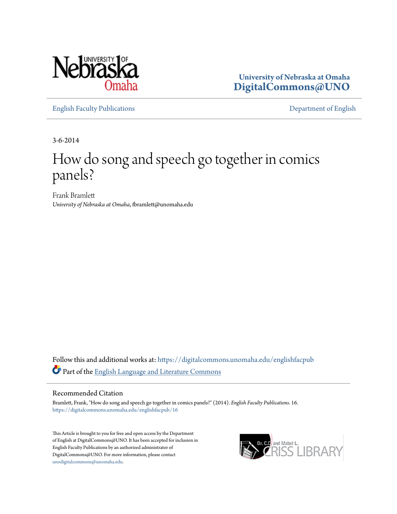

**University of Nebraska at Omaha [DigitalCommons@UNO](https://digitalcommons.unomaha.edu?utm_source=digitalcommons.unomaha.edu%2Fenglishfacpub%2F16&utm_medium=PDF&utm_campaign=PDFCoverPages)**

[English Faculty Publications](https://digitalcommons.unomaha.edu/englishfacpub?utm_source=digitalcommons.unomaha.edu%2Fenglishfacpub%2F16&utm_medium=PDF&utm_campaign=PDFCoverPages) [Department of English](https://digitalcommons.unomaha.edu/english?utm_source=digitalcommons.unomaha.edu%2Fenglishfacpub%2F16&utm_medium=PDF&utm_campaign=PDFCoverPages)

3-6-2014

## How do song and speech go together in comics panels?

Frank Bramlett *University of Nebraska at Omaha*, fbramlett@unomaha.edu

Follow this and additional works at: [https://digitalcommons.unomaha.edu/englishfacpub](https://digitalcommons.unomaha.edu/englishfacpub?utm_source=digitalcommons.unomaha.edu%2Fenglishfacpub%2F16&utm_medium=PDF&utm_campaign=PDFCoverPages) Part of the [English Language and Literature Commons](http://network.bepress.com/hgg/discipline/455?utm_source=digitalcommons.unomaha.edu%2Fenglishfacpub%2F16&utm_medium=PDF&utm_campaign=PDFCoverPages)

## Recommended Citation

Bramlett, Frank, "How do song and speech go together in comics panels?" (2014). *English Faculty Publications*. 16. [https://digitalcommons.unomaha.edu/englishfacpub/16](https://digitalcommons.unomaha.edu/englishfacpub/16?utm_source=digitalcommons.unomaha.edu%2Fenglishfacpub%2F16&utm_medium=PDF&utm_campaign=PDFCoverPages)

This Article is brought to you for free and open access by the Department of English at DigitalCommons@UNO. It has been accepted for inclusion in English Faculty Publications by an authorized administrator of DigitalCommons@UNO. For more information, please contact [unodigitalcommons@unomaha.edu](mailto:unodigitalcommons@unomaha.edu).

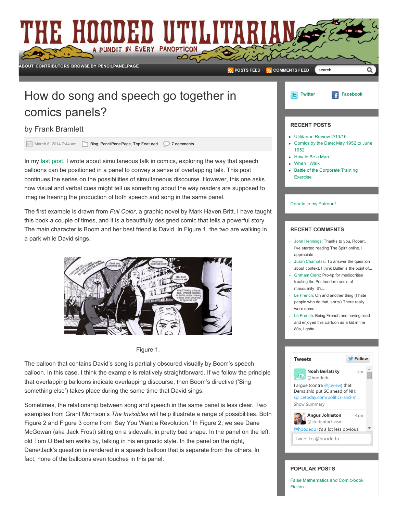

balloon. In this case, I think the example is relatively straightforward. If we follow the principle that overlapping balloons indicate overlapping discourse, then Boom's directive ('Sing something else') takes place during the same time that David sings.

Sometimes, the relationship between song and speech in the same panel is less clear. Two examples from Grant Morrison's *The Invisibles* will help illustrate a range of possibilities. Both Figure 2 and Figure 3 come from 'Say You Want a Revolution.' In Figure 2, we see Dane McGowan (aka Jack Frost) sitting on a sidewalk, in pretty bad shape. In the panel on the left, old Tom O'Bedlam walks by, talking in his enigmatic style. In the panel on the right, Dane/Jack's question is rendered in a speech balloon that is separate from the others. In fact, none of the balloons even touches in this panel.

## POPULAR POSTS

Tweet to [@hoodedu](https://twitter.com/intent/tweet?screen_name=hoodedu)

Show [Summary](https://twitter.com/hoodedu/status/699626871722389504)

False [Mathematics](http://www.hoodedutilitarian.com/2015/08/false-mathematics-and-comic-book-fiction/) and Comic-book Fiction

[@hoodedu](https://twitter.com/hoodedu) It's a lot less obvious.

[42m](https://twitter.com/studentactivism/status/699618303166300161)

Angus Johnston [@studentactivism](https://twitter.com/studentactivism)

I argue (contra [@jbview](https://twitter.com/jbview)) that Dems shld put SC ahead of NH: splicetoday.com/politics-and-m...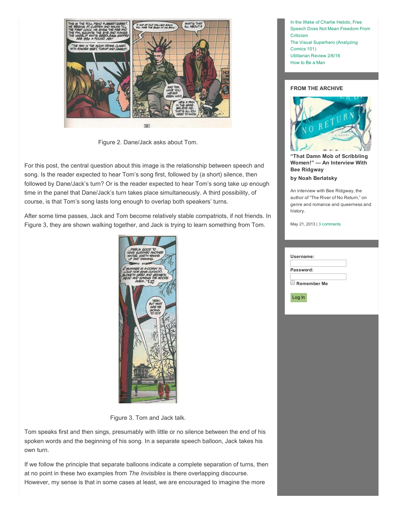

Figure 2. Dane/Jack asks about Tom.

For this post, the central question about this image is the relationship between speech and song. Is the reader expected to hear Tom's song first, followed by (a short) silence, then followed by Dane/Jack's turn? Or is the reader expected to hear Tom's song take up enough time in the panel that Dane/Jack's turn takes place simultaneously. A third possibility, of course, is that Tom's song lasts long enough to overlap both speakers' turns.

After some time passes, Jack and Tom become relatively stable compatriots, if not friends. In Figure 3, they are shown walking together, and Jack is trying to learn something from Tom.



Figure 3. Tom and Jack talk.

Tom speaks first and then sings, presumably with little or no silence between the end of his spoken words and the beginning of his song. In a separate speech balloon, Jack takes his own turn.

If we follow the principle that separate balloons indicate a complete separation of turns, then at no point in these two examples from *The Invisibles* is there overlapping discourse. However, my sense is that in some cases at least, we are encouraged to imagine the more

In the Wake of Charlie Hebdo, Free Speech Does Not Mean [Freedom](http://www.hoodedutilitarian.com/2015/01/in-the-wake-of-charlie-hebdo-free-speech-does-not-mean-freedom-from-criticism/) From **Criticism** The Visual [Superhero](http://www.hoodedutilitarian.com/2016/02/the-visual-superhero-analyzing-comics-101/) (Analyzing Comics 101) [Utilitarian](http://www.hoodedutilitarian.com/2016/02/utilitarian-review-2616/) Review 2/6/16 [How](http://www.hoodedutilitarian.com/2016/02/how-to-be-a-man/) to Be a Man

## FROM THE ARCHIVE



"That Damn Mob of [Scribbling](http://www.hoodedutilitarian.com/2013/05/that-damn-mob-of-scribbling-women-an-interview-with-bee-ridgway/) Women!" — An Interview With Bee Ridgway

by Noah [Berlatsky](http://www.hoodedutilitarian.com/author/noahberlatsky/)

An interview with Bee Ridgway, the author of "The River of No Return," on genre and romance and queerness and history.

May 21, 2013 | 3 [comments](http://www.hoodedutilitarian.com/2013/05/that-damn-mob-of-scribbling-women-an-interview-with-bee-ridgway/#commentspost)

| Username:          |  |
|--------------------|--|
| Password:          |  |
| <b>Remember Me</b> |  |
| Log In             |  |